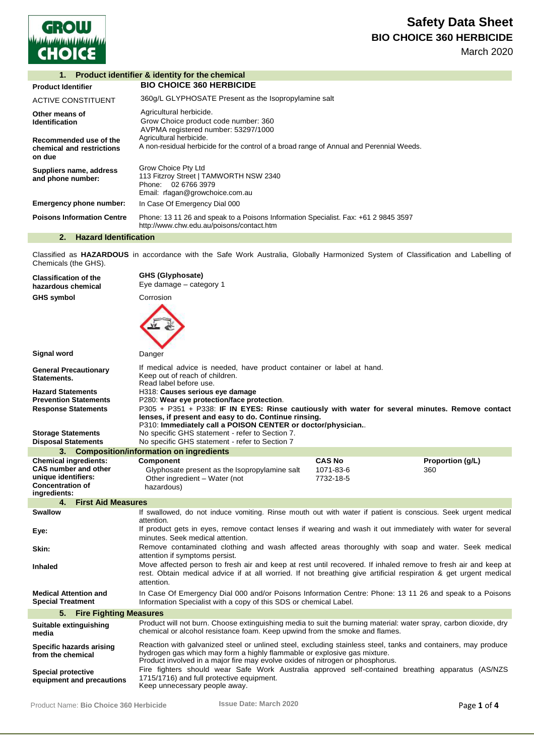March 2020



| 1. Product identifier & identity for the chemical             |                                                                                                                                  |  |
|---------------------------------------------------------------|----------------------------------------------------------------------------------------------------------------------------------|--|
| <b>Product Identifier</b>                                     | <b>BIO CHOICE 360 HERBICIDE</b>                                                                                                  |  |
| <b>ACTIVE CONSTITUENT</b>                                     | 360g/L GLYPHOSATE Present as the Isopropylamine salt                                                                             |  |
| Other means of<br><b>Identification</b>                       | Agricultural herbicide.<br>Grow Choice product code number: 360<br>AVPMA registered number: 53297/1000                           |  |
| Recommended use of the<br>chemical and restrictions<br>on due | Agricultural herbicide.<br>A non-residual herbicide for the control of a broad range of Annual and Perennial Weeds.              |  |
| Suppliers name, address<br>and phone number:                  | Grow Choice Pty Ltd<br>113 Fitzroy Street   TAMWORTH NSW 2340<br>Phone: 02 6766 3979<br>Email: rfagan@growchoice.com.au          |  |
| <b>Emergency phone number:</b>                                | In Case Of Emergency Dial 000                                                                                                    |  |
| <b>Poisons Information Centre</b>                             | Phone: 13 11 26 and speak to a Poisons Information Specialist. Fax: +61 2 9845 3597<br>http://www.chw.edu.au/poisons/contact.htm |  |
| <b>Hazard Identification</b><br>2.                            |                                                                                                                                  |  |

Classified as **HAZARDOUS** in accordance with the Safe Work Australia, Globally Harmonized System of Classification and Labelling of Chemicals (the GHS).

| <b>Classification of the</b><br>hazardous chemical                                                                            | GHS (Glyphosate)<br>Eye damage - category 1                                                                                                                                                                                                                                |                                         |                         |
|-------------------------------------------------------------------------------------------------------------------------------|----------------------------------------------------------------------------------------------------------------------------------------------------------------------------------------------------------------------------------------------------------------------------|-----------------------------------------|-------------------------|
| <b>GHS symbol</b>                                                                                                             | Corrosion                                                                                                                                                                                                                                                                  |                                         |                         |
| <b>Signal word</b>                                                                                                            | Danger                                                                                                                                                                                                                                                                     |                                         |                         |
| <b>General Precautionary</b><br>Statements.                                                                                   | If medical advice is needed, have product container or label at hand.<br>Keep out of reach of children.<br>Read label before use.                                                                                                                                          |                                         |                         |
| <b>Hazard Statements</b><br><b>Prevention Statements</b>                                                                      | H318: Causes serious eye damage<br>P280: Wear eye protection/face protection.                                                                                                                                                                                              |                                         |                         |
| <b>Response Statements</b>                                                                                                    | P305 + P351 + P338: IF IN EYES: Rinse cautiously with water for several minutes. Remove contact<br>lenses, if present and easy to do. Continue rinsing.<br>P310: Immediately call a POISON CENTER or doctor/physician                                                      |                                         |                         |
| <b>Storage Statements</b>                                                                                                     | No specific GHS statement - refer to Section 7.                                                                                                                                                                                                                            |                                         |                         |
| <b>Disposal Statements</b>                                                                                                    | No specific GHS statement - refer to Section 7                                                                                                                                                                                                                             |                                         |                         |
|                                                                                                                               | 3. Composition/information on ingredients                                                                                                                                                                                                                                  |                                         |                         |
| <b>Chemical ingredients:</b><br><b>CAS number and other</b><br>unique identifiers:<br><b>Concentration of</b><br>ingredients: | Component<br>Glyphosate present as the Isopropylamine salt<br>Other ingredient - Water (not<br>hazardous)                                                                                                                                                                  | <b>CAS No</b><br>1071-83-6<br>7732-18-5 | Proportion (g/L)<br>360 |
| 4.<br><b>First Aid Measures</b>                                                                                               |                                                                                                                                                                                                                                                                            |                                         |                         |
| <b>Swallow</b>                                                                                                                | If swallowed, do not induce vomiting. Rinse mouth out with water if patient is conscious. Seek urgent medical<br>attention.                                                                                                                                                |                                         |                         |
| Eye:                                                                                                                          | If product gets in eyes, remove contact lenses if wearing and wash it out immediately with water for several<br>minutes. Seek medical attention.                                                                                                                           |                                         |                         |
| Skin:                                                                                                                         | Remove contaminated clothing and wash affected areas thoroughly with soap and water. Seek medical<br>attention if symptoms persist.                                                                                                                                        |                                         |                         |
| <b>Inhaled</b>                                                                                                                | Move affected person to fresh air and keep at rest until recovered. If inhaled remove to fresh air and keep at<br>rest. Obtain medical advice if at all worried. If not breathing give artificial respiration & get urgent medical<br>attention.                           |                                         |                         |
| <b>Medical Attention and</b><br><b>Special Treatment</b>                                                                      | In Case Of Emergency Dial 000 and/or Poisons Information Centre: Phone: 13 11 26 and speak to a Poisons<br>Information Specialist with a copy of this SDS or chemical Label.                                                                                               |                                         |                         |
| <b>Fire Fighting Measures</b><br>5.                                                                                           |                                                                                                                                                                                                                                                                            |                                         |                         |
| Suitable extinguishing<br>media                                                                                               | Product will not burn. Choose extinguishing media to suit the burning material: water spray, carbon dioxide, dry<br>chemical or alcohol resistance foam. Keep upwind from the smoke and flames.                                                                            |                                         |                         |
| Specific hazards arising<br>from the chemical                                                                                 | Reaction with galvanized steel or unlined steel, excluding stainless steel, tanks and containers, may produce<br>hydrogen gas which may form a highly flammable or explosive gas mixture.<br>Product involved in a major fire may evolve oxides of nitrogen or phosphorus. |                                         |                         |
| <b>Special protective</b>                                                                                                     | Fire fighters should wear Safe Work Australia approved self-contained breathing apparatus (AS/NZS                                                                                                                                                                          |                                         |                         |

**equipment and precautions**

T

T

Г

1715/1716) and full protective equipment. Keep unnecessary people away.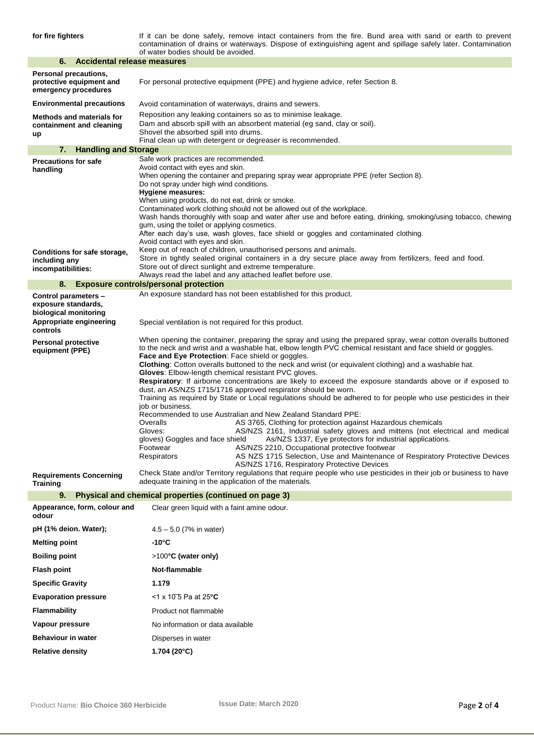**for fire fighters** If it can be done safely, remove intact containers from the fire. Bund area with sand or earth to prevent contamination of drains or waterways. Dispose of extinguishing agent and spillage safely later. Contamination of water bodies should be avoided.

| 6. Accidental release measures                                                      |                                                                                                                                                                                                                                                                                                                                                                                                                                                                                                                                                                                                                                                                                                                                                                                                                                                                                                                                                                                                                                                                                                                                                                                                                                                                                                                                  |  |  |
|-------------------------------------------------------------------------------------|----------------------------------------------------------------------------------------------------------------------------------------------------------------------------------------------------------------------------------------------------------------------------------------------------------------------------------------------------------------------------------------------------------------------------------------------------------------------------------------------------------------------------------------------------------------------------------------------------------------------------------------------------------------------------------------------------------------------------------------------------------------------------------------------------------------------------------------------------------------------------------------------------------------------------------------------------------------------------------------------------------------------------------------------------------------------------------------------------------------------------------------------------------------------------------------------------------------------------------------------------------------------------------------------------------------------------------|--|--|
| <b>Personal precautions,</b><br>protective equipment and<br>emergency procedures    | For personal protective equipment (PPE) and hygiene advice, refer Section 8.                                                                                                                                                                                                                                                                                                                                                                                                                                                                                                                                                                                                                                                                                                                                                                                                                                                                                                                                                                                                                                                                                                                                                                                                                                                     |  |  |
| <b>Environmental precautions</b>                                                    | Avoid contamination of waterways, drains and sewers.                                                                                                                                                                                                                                                                                                                                                                                                                                                                                                                                                                                                                                                                                                                                                                                                                                                                                                                                                                                                                                                                                                                                                                                                                                                                             |  |  |
| <b>Methods and materials for</b><br>containment and cleaning<br>up                  | Reposition any leaking containers so as to minimise leakage.<br>Dam and absorb spill with an absorbent material (eg sand, clay or soil).<br>Shovel the absorbed spill into drums.<br>Final clean up with detergent or degreaser is recommended.                                                                                                                                                                                                                                                                                                                                                                                                                                                                                                                                                                                                                                                                                                                                                                                                                                                                                                                                                                                                                                                                                  |  |  |
| <b>Handling and Storage</b><br>7.                                                   |                                                                                                                                                                                                                                                                                                                                                                                                                                                                                                                                                                                                                                                                                                                                                                                                                                                                                                                                                                                                                                                                                                                                                                                                                                                                                                                                  |  |  |
| <b>Precautions for safe</b><br>handling                                             | Safe work practices are recommended.<br>Avoid contact with eyes and skin.<br>When opening the container and preparing spray wear appropriate PPE (refer Section 8).<br>Do not spray under high wind conditions.<br><b>Hygiene measures:</b><br>When using products, do not eat, drink or smoke.<br>Contaminated work clothing should not be allowed out of the workplace.<br>Wash hands thoroughly with soap and water after use and before eating, drinking, smoking/using tobacco, chewing<br>gum, using the toilet or applying cosmetics.<br>After each day's use, wash gloves, face shield or goggles and contaminated clothing.<br>Avoid contact with eyes and skin.                                                                                                                                                                                                                                                                                                                                                                                                                                                                                                                                                                                                                                                        |  |  |
| Conditions for safe storage,<br>including any                                       | Keep out of reach of children, unauthorised persons and animals.<br>Store in tightly sealed original containers in a dry secure place away from fertilizers, feed and food.                                                                                                                                                                                                                                                                                                                                                                                                                                                                                                                                                                                                                                                                                                                                                                                                                                                                                                                                                                                                                                                                                                                                                      |  |  |
| incompatibilities:                                                                  | Store out of direct sunlight and extreme temperature.                                                                                                                                                                                                                                                                                                                                                                                                                                                                                                                                                                                                                                                                                                                                                                                                                                                                                                                                                                                                                                                                                                                                                                                                                                                                            |  |  |
| 8.                                                                                  | Always read the label and any attached leaflet before use.<br><b>Exposure controls/personal protection</b>                                                                                                                                                                                                                                                                                                                                                                                                                                                                                                                                                                                                                                                                                                                                                                                                                                                                                                                                                                                                                                                                                                                                                                                                                       |  |  |
| Control parameters -                                                                | An exposure standard has not been established for this product.                                                                                                                                                                                                                                                                                                                                                                                                                                                                                                                                                                                                                                                                                                                                                                                                                                                                                                                                                                                                                                                                                                                                                                                                                                                                  |  |  |
| exposure standards,<br>biological monitoring<br>Appropriate engineering<br>controls | Special ventilation is not required for this product.                                                                                                                                                                                                                                                                                                                                                                                                                                                                                                                                                                                                                                                                                                                                                                                                                                                                                                                                                                                                                                                                                                                                                                                                                                                                            |  |  |
| <b>Personal protective</b><br>equipment (PPE)                                       | When opening the container, preparing the spray and using the prepared spray, wear cotton overalls buttoned<br>to the neck and wrist and a washable hat, elbow length PVC chemical resistant and face shield or goggles.<br>Face and Eye Protection: Face shield or goggles.<br>Clothing: Cotton overalls buttoned to the neck and wrist (or equivalent clothing) and a washable hat.<br><b>Gloves:</b> Elbow-length chemical resistant PVC gloves.<br><b>Respiratory:</b> If airborne concentrations are likely to exceed the exposure standards above or if exposed to<br>dust, an AS/NZS 1715/1716 approved respirator should be worn.<br>Training as required by State or Local regulations should be adhered to for people who use pesticides in their<br>job or business.<br>Recommended to use Australian and New Zealand Standard PPE:<br>Overalls<br>AS 3765, Clothing for protection against Hazardous chemicals<br>Gloves:<br>AS/NZS 2161, Industrial safety gloves and mittens (not electrical and medical<br>As/NZS 1337, Eye protectors for industrial applications.<br>gloves) Goggles and face shield<br>Footwear<br>AS/NZS 2210, Occupational protective footwear<br>AS NZS 1715 Selection, Use and Maintenance of Respiratory Protective Devices<br>Respirators<br>AS/NZS 1716, Respiratory Protective Devices |  |  |
| <b>Requirements Concerning</b><br><b>Training</b>                                   | Check State and/or Territory regulations that require people who use pesticides in their job or business to have<br>adequate training in the application of the materials.                                                                                                                                                                                                                                                                                                                                                                                                                                                                                                                                                                                                                                                                                                                                                                                                                                                                                                                                                                                                                                                                                                                                                       |  |  |
| 9.<br>Physical and chemical properties (continued on page 3)                        |                                                                                                                                                                                                                                                                                                                                                                                                                                                                                                                                                                                                                                                                                                                                                                                                                                                                                                                                                                                                                                                                                                                                                                                                                                                                                                                                  |  |  |
| Appearance, form, colour and<br>odour                                               | Clear green liquid with a faint amine odour.                                                                                                                                                                                                                                                                                                                                                                                                                                                                                                                                                                                                                                                                                                                                                                                                                                                                                                                                                                                                                                                                                                                                                                                                                                                                                     |  |  |
| pH (1% deion. Water);                                                               | $4.5 - 5.0$ (7% in water)                                                                                                                                                                                                                                                                                                                                                                                                                                                                                                                                                                                                                                                                                                                                                                                                                                                                                                                                                                                                                                                                                                                                                                                                                                                                                                        |  |  |
| <b>Melting point</b>                                                                | $-10^{\circ}$ C                                                                                                                                                                                                                                                                                                                                                                                                                                                                                                                                                                                                                                                                                                                                                                                                                                                                                                                                                                                                                                                                                                                                                                                                                                                                                                                  |  |  |
| <b>Boiling point</b>                                                                | $>100^{\circ}$ C (water only)                                                                                                                                                                                                                                                                                                                                                                                                                                                                                                                                                                                                                                                                                                                                                                                                                                                                                                                                                                                                                                                                                                                                                                                                                                                                                                    |  |  |
| <b>Flash point</b>                                                                  | Not-flammable                                                                                                                                                                                                                                                                                                                                                                                                                                                                                                                                                                                                                                                                                                                                                                                                                                                                                                                                                                                                                                                                                                                                                                                                                                                                                                                    |  |  |
| <b>Specific Gravity</b>                                                             | 1.179                                                                                                                                                                                                                                                                                                                                                                                                                                                                                                                                                                                                                                                                                                                                                                                                                                                                                                                                                                                                                                                                                                                                                                                                                                                                                                                            |  |  |
| <b>Evaporation pressure</b>                                                         | $<$ 1 x 10 5 Pa at 25 $^{\circ}$ C                                                                                                                                                                                                                                                                                                                                                                                                                                                                                                                                                                                                                                                                                                                                                                                                                                                                                                                                                                                                                                                                                                                                                                                                                                                                                               |  |  |
| <b>Flammability</b>                                                                 | Product not flammable                                                                                                                                                                                                                                                                                                                                                                                                                                                                                                                                                                                                                                                                                                                                                                                                                                                                                                                                                                                                                                                                                                                                                                                                                                                                                                            |  |  |
| Vapour pressure                                                                     | No information or data available                                                                                                                                                                                                                                                                                                                                                                                                                                                                                                                                                                                                                                                                                                                                                                                                                                                                                                                                                                                                                                                                                                                                                                                                                                                                                                 |  |  |
| <b>Behaviour in water</b>                                                           | Disperses in water                                                                                                                                                                                                                                                                                                                                                                                                                                                                                                                                                                                                                                                                                                                                                                                                                                                                                                                                                                                                                                                                                                                                                                                                                                                                                                               |  |  |
| <b>Relative density</b>                                                             | 1.704 (20 $^{\circ}$ C)                                                                                                                                                                                                                                                                                                                                                                                                                                                                                                                                                                                                                                                                                                                                                                                                                                                                                                                                                                                                                                                                                                                                                                                                                                                                                                          |  |  |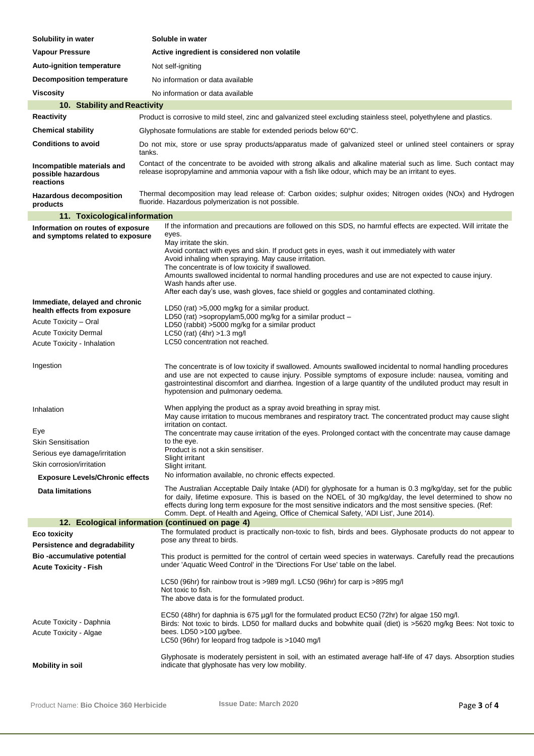| Solubility in water                                                                                                                                    | Soluble in water                                                                                                                                                                                                                                                                                                                                                                                                                                                                                                                                                                        |  |
|--------------------------------------------------------------------------------------------------------------------------------------------------------|-----------------------------------------------------------------------------------------------------------------------------------------------------------------------------------------------------------------------------------------------------------------------------------------------------------------------------------------------------------------------------------------------------------------------------------------------------------------------------------------------------------------------------------------------------------------------------------------|--|
| <b>Vapour Pressure</b>                                                                                                                                 | Active ingredient is considered non volatile                                                                                                                                                                                                                                                                                                                                                                                                                                                                                                                                            |  |
| Auto-ignition temperature                                                                                                                              | Not self-igniting                                                                                                                                                                                                                                                                                                                                                                                                                                                                                                                                                                       |  |
| <b>Decomposition temperature</b>                                                                                                                       | No information or data available                                                                                                                                                                                                                                                                                                                                                                                                                                                                                                                                                        |  |
| <b>Viscosity</b>                                                                                                                                       | No information or data available                                                                                                                                                                                                                                                                                                                                                                                                                                                                                                                                                        |  |
| 10. Stability and Reactivity                                                                                                                           |                                                                                                                                                                                                                                                                                                                                                                                                                                                                                                                                                                                         |  |
| <b>Reactivity</b>                                                                                                                                      | Product is corrosive to mild steel, zinc and galvanized steel excluding stainless steel, polyethylene and plastics.                                                                                                                                                                                                                                                                                                                                                                                                                                                                     |  |
| <b>Chemical stability</b>                                                                                                                              | Glyphosate formulations are stable for extended periods below $60^{\circ}$ C.                                                                                                                                                                                                                                                                                                                                                                                                                                                                                                           |  |
| <b>Conditions to avoid</b>                                                                                                                             | Do not mix, store or use spray products/apparatus made of galvanized steel or unlined steel containers or spray<br>tanks.                                                                                                                                                                                                                                                                                                                                                                                                                                                               |  |
| Incompatible materials and<br>possible hazardous<br>reactions                                                                                          | Contact of the concentrate to be avoided with strong alkalis and alkaline material such as lime. Such contact may<br>release isopropylamine and ammonia vapour with a fish like odour, which may be an irritant to eyes.                                                                                                                                                                                                                                                                                                                                                                |  |
| <b>Hazardous decomposition</b><br>products                                                                                                             | Thermal decomposition may lead release of: Carbon oxides; sulphur oxides; Nitrogen oxides (NOx) and Hydrogen<br>fluoride. Hazardous polymerization is not possible.                                                                                                                                                                                                                                                                                                                                                                                                                     |  |
| 11. Toxicological information                                                                                                                          |                                                                                                                                                                                                                                                                                                                                                                                                                                                                                                                                                                                         |  |
| Information on routes of exposure<br>and symptoms related to exposure                                                                                  | If the information and precautions are followed on this SDS, no harmful effects are expected. Will irritate the<br>eyes.<br>May irritate the skin.<br>Avoid contact with eyes and skin. If product gets in eyes, wash it out immediately with water<br>Avoid inhaling when spraying. May cause irritation.<br>The concentrate is of low toxicity if swallowed.<br>Amounts swallowed incidental to normal handling procedures and use are not expected to cause injury.<br>Wash hands after use.<br>After each day's use, wash gloves, face shield or goggles and contaminated clothing. |  |
| Immediate, delayed and chronic<br>health effects from exposure<br>Acute Toxicity - Oral<br><b>Acute Toxicity Dermal</b><br>Acute Toxicity - Inhalation | LD50 (rat) $>5,000$ mg/kg for a similar product.<br>LD50 (rat) >sopropylam5,000 mg/kg for a similar product -<br>LD50 (rabbit) >5000 mg/kg for a similar product<br>$LC50$ (rat) (4hr) > 1.3 mg/l<br>LC50 concentration not reached.                                                                                                                                                                                                                                                                                                                                                    |  |
| Ingestion                                                                                                                                              | The concentrate is of low toxicity if swallowed. Amounts swallowed incidental to normal handling procedures<br>and use are not expected to cause injury. Possible symptoms of exposure include: nausea, vomiting and<br>gastrointestinal discomfort and diarrhea. Ingestion of a large quantity of the undiluted product may result in<br>hypotension and pulmonary oedema.                                                                                                                                                                                                             |  |
| Inhalation<br>Eye<br><b>Skin Sensitisation</b><br>Serious eye damage/irritation<br>Skin corrosion/irritation<br><b>Exposure Levels/Chronic effects</b> | When applying the product as a spray avoid breathing in spray mist.<br>May cause irritation to mucous membranes and respiratory tract. The concentrated product may cause slight<br>irritation on contact.<br>The concentrate may cause irritation of the eyes. Prolonged contact with the concentrate may cause damage<br>to the eye.<br>Product is not a skin sensitiser.<br>Slight irritant<br>Slight irritant.<br>No information available, no chronic effects expected.                                                                                                            |  |
| <b>Data limitations</b>                                                                                                                                | The Australian Acceptable Daily Intake (ADI) for glyphosate for a human is 0.3 mg/kg/day, set for the public<br>for daily, lifetime exposure. This is based on the NOEL of 30 mg/kg/day, the level determined to show no<br>effects during long term exposure for the most sensitive indicators and the most sensitive species. (Ref:<br>Comm. Dept. of Health and Ageing, Office of Chemical Safety, 'ADI List', June 2014).<br>12. Ecological information (continued on page 4)                                                                                                       |  |
| <b>Eco toxicity</b>                                                                                                                                    | The formulated product is practically non-toxic to fish, birds and bees. Glyphosate products do not appear to                                                                                                                                                                                                                                                                                                                                                                                                                                                                           |  |
| Persistence and degradability                                                                                                                          | pose any threat to birds.                                                                                                                                                                                                                                                                                                                                                                                                                                                                                                                                                               |  |
| Bio-accumulative potential<br><b>Acute Toxicity - Fish</b>                                                                                             | This product is permitted for the control of certain weed species in waterways. Carefully read the precautions<br>under 'Aquatic Weed Control' in the 'Directions For Use' table on the label.                                                                                                                                                                                                                                                                                                                                                                                          |  |
|                                                                                                                                                        | LC50 (96hr) for rainbow trout is >989 mg/l. LC50 (96hr) for carp is >895 mg/l<br>Not toxic to fish.<br>The above data is for the formulated product.                                                                                                                                                                                                                                                                                                                                                                                                                                    |  |
| Acute Toxicity - Daphnia<br>Acute Toxicity - Algae                                                                                                     | EC50 (48hr) for daphnia is 675 µg/l for the formulated product EC50 (72hr) for algae 150 mg/l.<br>Birds: Not toxic to birds. LD50 for mallard ducks and bobwhite quail (diet) is >5620 mg/kg Bees: Not toxic to<br>bees. $LD50 > 100$ $\mu$ g/bee.<br>LC50 (96hr) for leopard frog tadpole is >1040 mg/l                                                                                                                                                                                                                                                                                |  |
| <b>Mobility in soil</b>                                                                                                                                | Glyphosate is moderately persistent in soil, with an estimated average half-life of 47 days. Absorption studies<br>indicate that glyphosate has very low mobility.                                                                                                                                                                                                                                                                                                                                                                                                                      |  |